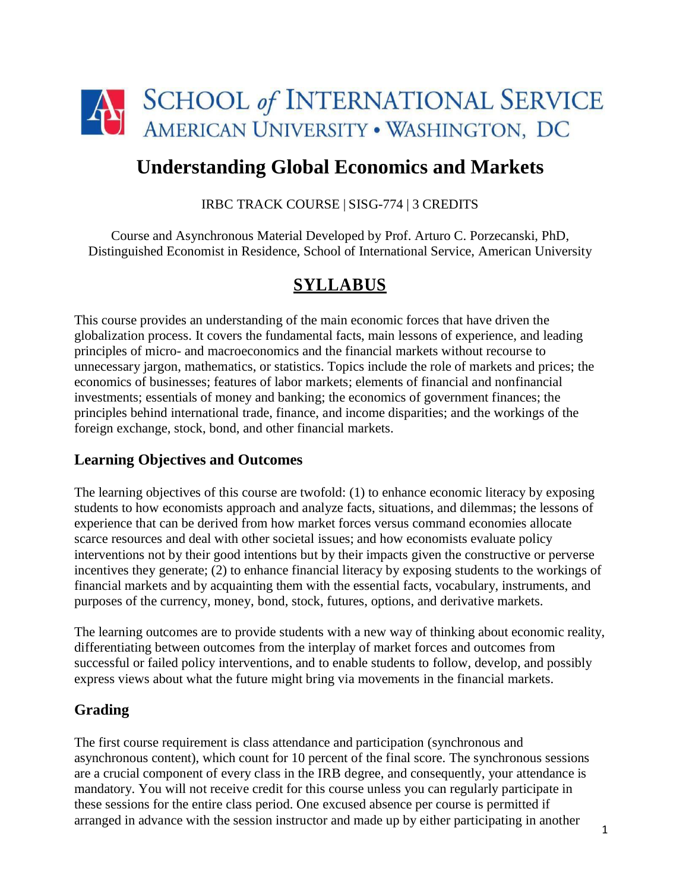

# **Understanding Global Economics and Markets**

#### IRBC TRACK COURSE | SISG-774 | 3 CREDITS

Course and Asynchronous Material Developed by Prof. Arturo C. Porzecanski, PhD, Distinguished Economist in Residence, School of International Service, American University

# **SYLLABUS**

This course provides an understanding of the main economic forces that have driven the globalization process. It covers the fundamental facts, main lessons of experience, and leading principles of micro- and macroeconomics and the financial markets without recourse to unnecessary jargon, mathematics, or statistics. Topics include the role of markets and prices; the economics of businesses; features of labor markets; elements of financial and nonfinancial investments; essentials of money and banking; the economics of government finances; the principles behind international trade, finance, and income disparities; and the workings of the foreign exchange, stock, bond, and other financial markets.

### **Learning Objectives and Outcomes**

The learning objectives of this course are twofold: (1) to enhance economic literacy by exposing students to how economists approach and analyze facts, situations, and dilemmas; the lessons of experience that can be derived from how market forces versus command economies allocate scarce resources and deal with other societal issues; and how economists evaluate policy interventions not by their good intentions but by their impacts given the constructive or perverse incentives they generate; (2) to enhance financial literacy by exposing students to the workings of financial markets and by acquainting them with the essential facts, vocabulary, instruments, and purposes of the currency, money, bond, stock, futures, options, and derivative markets.

The learning outcomes are to provide students with a new way of thinking about economic reality, differentiating between outcomes from the interplay of market forces and outcomes from successful or failed policy interventions, and to enable students to follow, develop, and possibly express views about what the future might bring via movements in the financial markets.

## **Grading**

The first course requirement is class attendance and participation (synchronous and asynchronous content), which count for 10 percent of the final score. The synchronous sessions are a crucial component of every class in the IRB degree, and consequently, your attendance is mandatory. You will not receive credit for this course unless you can regularly participate in these sessions for the entire class period. One excused absence per course is permitted if arranged in advance with the session instructor and made up by either participating in another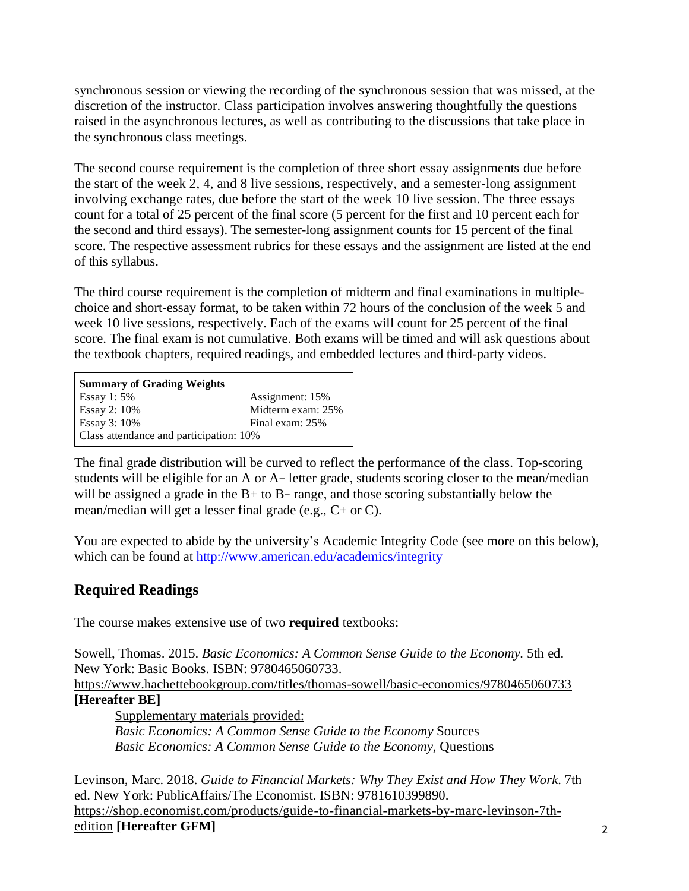synchronous session or viewing the recording of the synchronous session that was missed, at the discretion of the instructor. Class participation involves answering thoughtfully the questions raised in the asynchronous lectures, as well as contributing to the discussions that take place in the synchronous class meetings.

The second course requirement is the completion of three short essay assignments due before the start of the week 2, 4, and 8 live sessions, respectively, and a semester-long assignment involving exchange rates, due before the start of the week 10 live session. The three essays count for a total of 25 percent of the final score (5 percent for the first and 10 percent each for the second and third essays). The semester-long assignment counts for 15 percent of the final score. The respective assessment rubrics for these essays and the assignment are listed at the end of this syllabus.

The third course requirement is the completion of midterm and final examinations in multiplechoice and short-essay format, to be taken within 72 hours of the conclusion of the week 5 and week 10 live sessions, respectively. Each of the exams will count for 25 percent of the final score. The final exam is not cumulative. Both exams will be timed and will ask questions about the textbook chapters, required readings, and embedded lectures and third-party videos.

| <b>Summary of Grading Weights</b>       |                   |  |  |  |
|-----------------------------------------|-------------------|--|--|--|
| Essay 1: $5%$                           | Assignment: 15%   |  |  |  |
| Essay 2: 10%                            | Midterm exam: 25% |  |  |  |
| Essay 3: 10%                            | Final exam: 25%   |  |  |  |
| Class attendance and participation: 10% |                   |  |  |  |

The final grade distribution will be curved to reflect the performance of the class. Top-scoring students will be eligible for an A or A− letter grade, students scoring closer to the mean/median will be assigned a grade in the B+ to B− range, and those scoring substantially below the mean/median will get a lesser final grade (e.g., C+ or C).

You are expected to abide by the university's Academic Integrity Code (see more on this below), which can be found at [http://www.american.edu/academics/integrity](http://www.american.edu/academics/integrity/)

# **Required Readings**

The course makes extensive use of two **required** textbooks:

Sowell, Thomas. 2015. *Basic Economics: A Common Sense Guide to the Economy.* 5th ed. New York: Basic Books. ISBN: 9780465060733.

[https://www.hachettebookgroup.com/titles/thomas-sowell/basic-economics/9780465060733](https://www.hachettebookgroup.com/titles/thomas-sowell/basic-economics/9780465060733/) **[Hereafter BE]**

Supplementary materials provided:

*Basic Economics: A Common Sense Guide to the Economy* Sources *Basic Economics: A Common Sense Guide to the Economy*, Questions

Levinson, Marc. 2018. *Guide to Financial Markets: Why They Exist and How They Work*. 7th ed. New York: PublicAffairs/The Economist. ISBN: 9781610399890. [https://shop.economist.com/products/guide-to-financial-markets-by-marc-levinson-7th](https://shop.economist.com/products/guide-to-financial-markets-by-marc-levinson-7th-edition)[edition](https://shop.economist.com/products/guide-to-financial-markets-by-marc-levinson-7th-edition) **[Hereafter GFM]**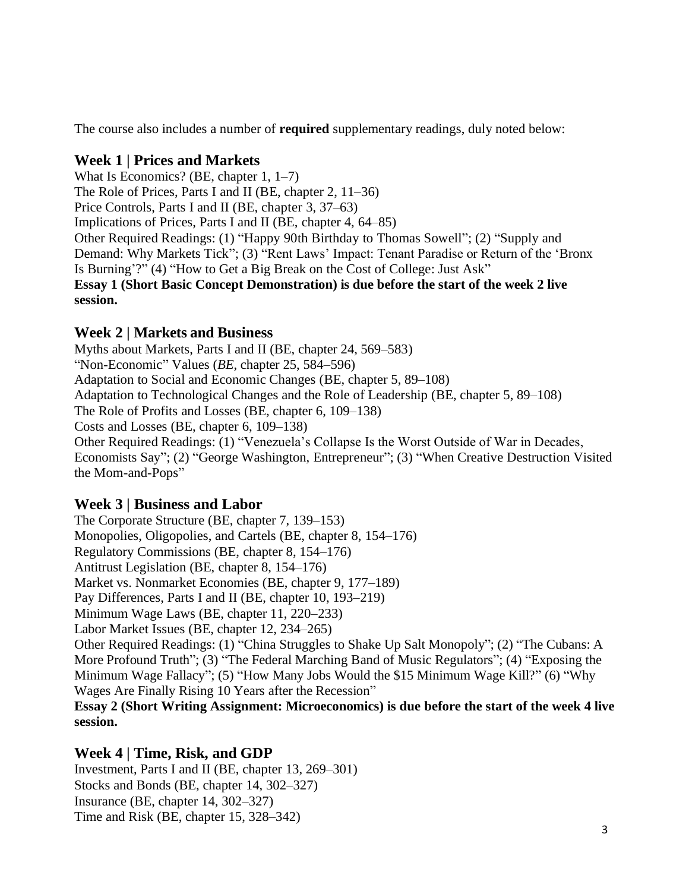The course also includes a number of **required** supplementary readings, duly noted below:

## **Week 1 | Prices and Markets**

[What Is Economics?](https://2ir.ironline.american.edu/mod/page/view.php?id=8954) (BE, chapter 1, 1–7) The Role of [Prices, Parts I](https://2ir.ironline.american.edu/mod/page/view.php?id=8956) and II (BE, chapter 2, 11–36) Price [Controls,](https://2ir.ironline.american.edu/mod/page/view.php?id=8957) Parts I and II (BE, chapter 3, 37–63) Implications of Prices, Parts I and II (BE, chapter 4, 64–85) Other Required Readings: (1) "Happy 90th Birthday to Thomas Sowell"; (2) "Supply and Demand: Why Markets Tick"; (3) "Rent Laws' Impact: Tenant Paradise or Return of the 'Bronx Is Burning'?" (4) "How to Get a Big Break on the Cost of College: Just Ask" **Essay 1 (Short Basic Concept Demonstration) is due before the start of the week 2 live session.**

## **Week 2 | Markets and Business**

Myths about Markets, Parts I and II (BE, chapter 24, 569–583) "Non-Economic" Values (*BE*, chapter 25, 584–596) Adaptation to Social and Economic Changes (BE, chapter 5, 89–108) Adaptation to Technological Changes and the Role of Leadership (BE, chapter 5, 89–108) The Role of Profits and Losses (BE, chapter 6, 109–138) Costs and Losses (BE, chapter 6, 109–138) Other Required Readings: (1) "Venezuela's Collapse Is the Worst Outside of War in Decades, Economists Say"; (2) "George Washington, Entrepreneur"; (3) "When Creative Destruction Visited the Mom-and-Pops"

### **Week 3 | Business and Labor**

The Corporate Structure (BE, chapter 7, 139–153) Monopolies, Oligopolies, and Cartels (BE, chapter 8, 154–176) Regulatory Commissions (BE, chapter 8, 154–176) Antitrust Legislation (BE, chapter 8, 154–176) Market vs. Nonmarket Economies (BE, chapter 9, 177–189) Pay Differences, Parts I and II (BE, chapter 10, 193–219) Minimum Wage Laws (BE, chapter 11, 220–233) Labor Market Issues (BE, chapter 12, 234–265) Other Required Readings: (1) "China Struggles to Shake Up Salt Monopoly"; (2) "The Cubans: A More Profound Truth"; (3) "The Federal Marching Band of Music Regulators"; (4) "Exposing the Minimum Wage Fallacy"; (5) "How Many Jobs Would the \$15 Minimum Wage Kill?" (6) "Why Wages Are Finally Rising 10 Years after the Recession" **Essay 2 (Short Writing Assignment: Microeconomics) is due before the start of the week 4 live session.**

## **Week 4 | Time, Risk, and GDP**

Investment, Parts I and II (BE, chapter 13, 269–301) [Stocks and Bonds](https://2ir.ironline.american.edu/mod/page/view.php?id=8955) (BE, chapter 14, 302–327) Insurance (BE, chapter 14, 302–327) Time [and Risk \(BE,](https://2ir.ironline.american.edu/mod/page/view.php?id=8955) chapter 15, 328–342)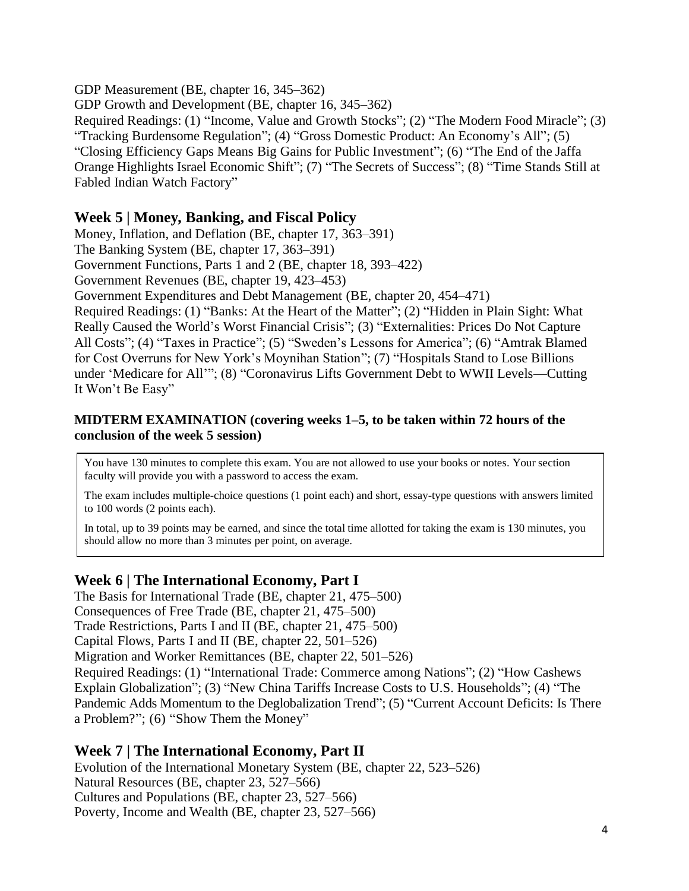GDP Measurement (BE, chapter 16, 345–362) GDP Growth and Development (BE, chapter 16, 345–362) [Required](https://2ir.ironline.american.edu/mod/page/view.php?id=8957) Readings: (1) "Income, Value and Growth Stocks"; (2) "The Modern Food Miracle"; (3) "Tracking Burdensome Regulation"; (4) "Gross Domestic Product: An Economy's All"; (5) "Closing Efficiency Gaps Means Big Gains for Public Investment"; (6) "The End of the Jaffa Orange Highlights Israel Economic Shift"; (7) "The Secrets of Success"; (8) "Time Stands Still at Fabled Indian Watch Factory"

### **Week 5 | Money, Banking, and Fiscal Policy**

Money, Inflation, and Deflation (BE, chapter 17, 363–391)

The Banking System (BE, chapter 17, 363–391)

Government Functions, Parts 1 and 2 (BE, chapter 18, 393–422)

Government Revenues (BE, chapter 19, 423–453)

Government Expenditures and Debt Management (BE, chapter 20, 454–471)

[Required](https://2ir.ironline.american.edu/mod/page/view.php?id=8957) Readings: (1) "Banks: At the Heart of the Matter"; (2) "Hidden in Plain Sight: What Really Caused the World's Worst Financial Crisis"; (3) "Externalities: Prices Do Not Capture All Costs"; (4) "Taxes in Practice"; (5) "Sweden's Lessons for America"; (6) "Amtrak Blamed for Cost Overruns for New York's Moynihan Station"; (7) "Hospitals Stand to Lose Billions under 'Medicare for All'"; (8) "Coronavirus Lifts Government Debt to WWII Levels—Cutting It Won't Be Easy"

#### **MIDTERM EXAMINATION (covering weeks 1–5, to be taken within 72 hours of the conclusion of the week 5 session)**

You have 130 minutes to complete this exam. You are not allowed to use your books or notes. Your section faculty will provide you with a password to access the exam.

The exam includes multiple-choice questions (1 point each) and short, essay-type questions with answers limited to 100 words (2 points each).

In total, up to 39 points may be earned, and since the total time allotted for taking the exam is 130 minutes, you should allow no more than 3 minutes per point, on average.

### **Week 6 | The International Economy, Part I**

The Basis for International Trade (BE, chapter 21, 475–500) Consequences of Free Trade (BE, chapter 21, 475–500) Trade Restrictions, Parts I and II (BE, chapter 21, 475–500) [Capital Flows, Parts I](https://2ir.ironline.american.edu/mod/page/view.php?id=8954) and II (BE, chapter 22, 501–526) Migration and Worker Remittances (BE, chapter 22, 501–526) [Required](https://2ir.ironline.american.edu/mod/page/view.php?id=8957) Readings: (1) "International Trade: Commerce among Nations"; (2) "How Cashews Explain Globalization"; (3) "New China Tariffs Increase Costs to U.S. Households"; (4) "The Pandemic Adds Momentum to the Deglobalization Trend"; (5) "Current Account Deficits: Is There a Problem?"; (6) "Show Them the Money"

### **Week 7 | The International Economy, Part II**

Evolution of the International Monetary System (BE, chapter 22, 523–526) Natural Resources (BE, chapter 23, 527–566) Cultures and Populations (BE, chapter 23, 527–566) Poverty, Income and Wealth (BE, chapter 23, 527–566)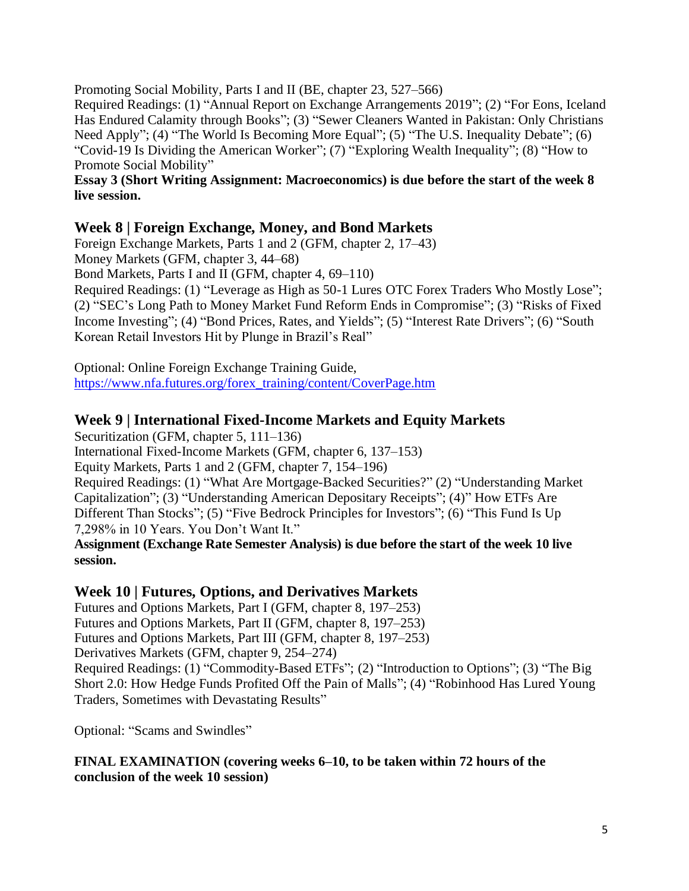Promoting Social Mobility, Parts I and II (BE, chapter 23, 527–566)

[Required](https://2ir.ironline.american.edu/mod/page/view.php?id=8957) Readings: (1) "Annual Report on Exchange Arrangements 2019"; (2) "For Eons, Iceland Has Endured Calamity through Books"; (3) "Sewer Cleaners Wanted in Pakistan: Only Christians Need Apply"; (4) "The World Is Becoming More Equal"; (5) "The U.S. Inequality Debate"; (6) "Covid-19 Is Dividing the American Worker"; (7) "Exploring Wealth Inequality"; (8) "How to Promote Social Mobility"

**Essay 3 (Short Writing Assignment: Macroeconomics) is due before the start of the week 8 live session.**

## **Week 8 | Foreign Exchange, Money, and Bond Markets**

Foreign Exchange Markets, Parts 1 and 2 (GFM, chapter 2, 17–43)

Money [Markets](https://2ir.ironline.american.edu/mod/page/view.php?id=8955) (GFM, chapter 3, 44–68)

[Bond Market](https://2ir.ironline.american.edu/mod/page/view.php?id=8954)s, Parts I and II (GFM, chapter 4, 69–110)

[Required](https://2ir.ironline.american.edu/mod/page/view.php?id=8957) Readings: (1) "Leverage as High as 50-1 Lures OTC Forex Traders Who Mostly Lose"; (2) "SEC's Long Path to Money Market Fund Reform Ends in Compromise"; (3) "Risks of Fixed Income Investing"; (4) "Bond Prices, Rates, and Yields"; (5) "Interest Rate Drivers"; (6) "South Korean Retail Investors Hit by Plunge in Brazil's Real"

Optional: Online Foreign Exchange Training Guide, [https://www.nfa.futures.org/forex\\_training/content/CoverPage.htm](https://www.nfa.futures.org/forex_training/content/CoverPage.htm)

## **Week 9 | International Fixed-Income Markets and Equity Markets**

[Securitizatio](https://2ir.ironline.american.edu/mod/page/view.php?id=8955)n (GFM, chapter 5, 111–136) International [Fixed-Income Markets](https://2ir.ironline.american.edu/mod/page/view.php?id=8954) (GFM, chapter 6, 137–153) Equity [Markets, Parts 1 and 2 \(G](https://2ir.ironline.american.edu/mod/page/view.php?id=8955)FM, chapter 7, 154–196) [Required](https://2ir.ironline.american.edu/mod/page/view.php?id=8957) Readings: (1) "What Are Mortgage-Backed Securities?" (2) "Understanding Market Capitalization"; (3) "Understanding American Depositary Receipts"; (4)" How ETFs Are Different Than Stocks"; (5) "Five Bedrock Principles for Investors"; (6) "This Fund Is Up 7,298% in 10 Years. You Don't Want It."

**Assignment (Exchange Rate Semester Analysis) is due before the start of the week 10 live session.**

### **Week 10 | Futures, Options, and Derivatives Markets**

Futures and [Options Markets, Part I](https://2ir.ironline.american.edu/mod/page/view.php?id=8954) (GFM, chapter 8, 197–253)

Futures and [Options Markets, Part II](https://2ir.ironline.american.edu/mod/page/view.php?id=8954) (GFM, chapter 8, 197–253)

Futures and [Options Markets, Part III](https://2ir.ironline.american.edu/mod/page/view.php?id=8954) (GFM, chapter 8, 197–253)

[Derivatives Markets](https://2ir.ironline.american.edu/mod/page/view.php?id=8955) (GFM, chapter 9, 254–274)

[Required](https://2ir.ironline.american.edu/mod/page/view.php?id=8957) Readings: (1) "Commodity-Based ETFs"; (2) "Introduction to Options"; (3) "The Big Short 2.0: How Hedge Funds Profited Off the Pain of Malls"; (4) "Robinhood Has Lured Young Traders, Sometimes with Devastating Results"

Optional: "Scams and Swindles"

**FINAL EXAMINATION (covering weeks 6–10, to be taken within 72 hours of the conclusion of the week 10 session)**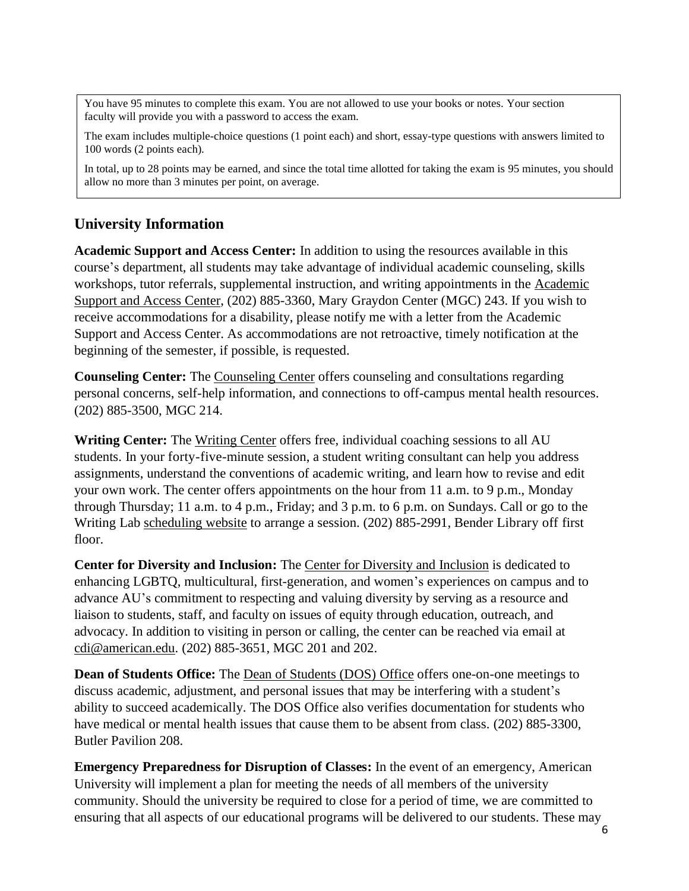You have 95 minutes to complete this exam. You are not allowed to use your books or notes. Your section faculty will provide you with a password to access the exam.

The exam includes multiple-choice questions (1 point each) and short, essay-type questions with answers limited to 100 words (2 points each).

In total, up to 28 points may be earned, and since the total time allotted for taking the exam is 95 minutes, you should allow no more than 3 minutes per point, on average.

## **University Information**

**Academic Support and Access Center:** In addition to using the resources available in this course's department, all students may take advantage of individual academic counseling, skills workshops, tutor referrals, supplemental instruction, and writing appointments in the [Academic](http://www.american.edu/ocl/asac/index.cfm) Support [and Access](http://www.american.edu/ocl/asac/index.cfm) Center, (202) 885-3360, Mary Graydon Center (MGC) 243. If you wish to receive accommodations for a disability, please notify me with a letter from the Academic Support and Access Center. As accommodations are not retroactive, timely notification at the beginning of the semester, if possible, is requested.

**Counseling Center:** The [Counseling Center](https://www.american.edu/ocl/counseling/) offers counseling and consultations regarding personal concerns, self-help information, and connections to off-campus mental health resources. (202) 885-3500, MGC 214.

**Writing Center:** The [Writing Center](https://www.american.edu/provost/academic-access/writing-center.cfm) offers free, individual coaching sessions to all AU students. In your forty-five-minute session, a student writing consultant can help you address assignments, understand the conventions of academic writing, and learn how to revise and edit your own work. The center offers appointments on the hour from 11 a.m. to 9 p.m., Monday through Thursday; 11 a.m. to 4 p.m., Friday; and 3 p.m. to 6 p.m. on Sundays. Call or go to the Writing Lab [scheduling website](https://urldefense.proofpoint.com/v2/url?u=http-3A__www.american.mywconline.net&d=DwMFaQ&c=U0G0XJAMhEk_X0GAGzCL7Q&r=d3dNkPHGBT4l1b_JJQjXXnkPj_OJ4212jxPNNlStcz4&m=jPoVYFcKgQuTkP6HPIW3HrrQAj09WrQ_cyKisL-vPpY&s=OvC1cYaA0OfDu1HOwwZ62URSC16BDqzalyUM_rMOAfQ&e) to arrange a session. (202) 885-2991, Bender Library off first floor.

**Center for Diversity and Inclusion:** The [Center for Diversity](http://www.american.edu/ocl/cdi/index.cfm) and Inclusion is dedicated to enhancing LGBTQ, multicultural, first-generation, and women's experiences on campus and to advance AU's commitment to respecting and valuing diversity by serving as a resource and liaison to students, staff, and faculty on issues of equity through education, outreach, and advocacy. In addition to visiting in person or calling, the center can be reached via email at [cdi@american.edu.](mailto:cdi@american.edu) (202) 885-3651, MGC 201 and 202.

**Dean of Students Office:** The [Dean of Students](http://www.american.edu/ocl/dos/index.cfm) (DOS) Office offers one-on-one meetings to discuss academic, adjustment, and personal issues that may be interfering with a student's ability to succeed academically. The DOS Office also verifies documentation for students who have medical or mental health issues that cause them to be absent from class. (202) 885-3300, Butler Pavilion 208.

**Emergency Preparedness for Disruption of Classes:** In the event of an emergency, American University will implement a plan for meeting the needs of all members of the university community. Should the university be required to close for a period of time, we are committed to ensuring that all aspects of our educational programs will be delivered to our students. These may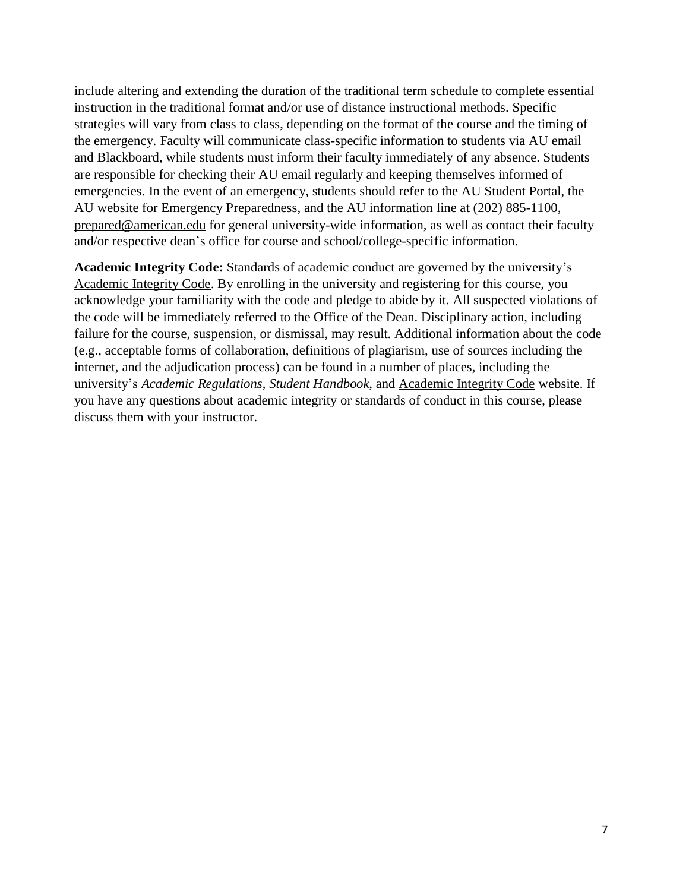include altering and extending the duration of the traditional term schedule to complete essential instruction in the traditional format and/or use of distance instructional methods. Specific strategies will vary from class to class, depending on the format of the course and the timing of the emergency. Faculty will communicate class-specific information to students via AU email and Blackboard, while students must inform their faculty immediately of any absence. Students are responsible for checking their AU email regularly and keeping themselves informed of emergencies. In the event of an emergency, students should refer to the AU Student Portal, the AU website for Emergency [Preparedness,](http://www.american.edu/emergency/) and the AU information line at (202) 885-1100, [prepared@american.edu](mailto:prepared@american.edu) for general university-wide information, as well as contact their faculty and/or respective dean's office for course and school/college-specific information.

**Academic Integrity Code:** Standards of academic conduct are governed by the university's [Academic](http://www.american.edu/academics/integrity/code.cfm) Integrity Code. By enrolling in the university and registering for this course, you acknowledge your familiarity with the code and pledge to abide by it. All suspected violations of the code will be immediately referred to the Office of the Dean. Disciplinary action, including failure for the course, suspension, or dismissal, may result. Additional information about the code (e.g., acceptable forms of collaboration, definitions of plagiarism, use of sources including the internet, and the adjudication process) can be found in a number of places, including the university's *Academic Regulations*, *Student Handbook*, and [Academic](http://www.american.edu/academics/integrity/) Integrity Code website. If you have any questions about academic integrity or standards of conduct in this course, please discuss them with your instructor.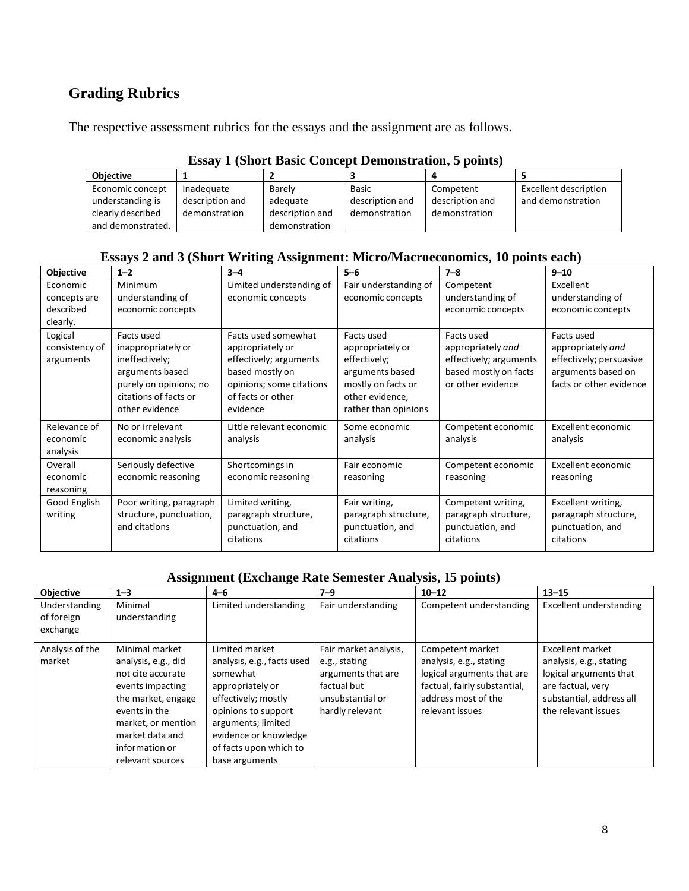## **Grading Rubrics**

The respective assessment rubrics for the essays and the assignment are as follows.

| Loon / T (DHOT) Davit Contecpt Demonstration C points |                 |                 |                 |                 |                              |
|-------------------------------------------------------|-----------------|-----------------|-----------------|-----------------|------------------------------|
| <b>Objective</b>                                      |                 |                 |                 |                 |                              |
| Economic concept                                      | Inadequate      | Barely          | <b>Basic</b>    | Competent       | <b>Excellent description</b> |
| understanding is                                      | description and | adequate        | description and | description and | and demonstration            |
| clearly described                                     | demonstration   | description and | demonstration   | demonstration   |                              |
| and demonstrated.                                     |                 | demonstration   |                 |                 |                              |

#### **Essay 1 (Short Basic Concept Demonstration, 5 points)**

#### **Essays 2 and 3 (Short Writing Assignment: Micro/Macroeconomics, 10 points each)**

| Objective                                         | $1 - 2$                                                                                                                                    | $3 - 4$                                                                                                                                           | $5 - 6$                                                                                                                            | $7 - 8$                                                                                                 | $9 - 10$                                                                                                    |
|---------------------------------------------------|--------------------------------------------------------------------------------------------------------------------------------------------|---------------------------------------------------------------------------------------------------------------------------------------------------|------------------------------------------------------------------------------------------------------------------------------------|---------------------------------------------------------------------------------------------------------|-------------------------------------------------------------------------------------------------------------|
| Economic<br>concepts are<br>described<br>clearly. | <b>Minimum</b><br>understanding of<br>economic concepts                                                                                    | Limited understanding of<br>economic concepts                                                                                                     | Fair understanding of<br>economic concepts                                                                                         | Competent<br>understanding of<br>economic concepts                                                      | Excellent<br>understanding of<br>economic concepts                                                          |
| Logical<br>consistency of<br>arguments            | Facts used<br>inappropriately or<br>ineffectively;<br>arguments based<br>purely on opinions; no<br>citations of facts or<br>other evidence | Facts used somewhat<br>appropriately or<br>effectively; arguments<br>based mostly on<br>opinions; some citations<br>of facts or other<br>evidence | Facts used<br>appropriately or<br>effectively;<br>arguments based<br>mostly on facts or<br>other evidence,<br>rather than opinions | Facts used<br>appropriately and<br>effectively; arguments<br>based mostly on facts<br>or other evidence | Facts used<br>appropriately and<br>effectively; persuasive<br>arguments based on<br>facts or other evidence |
| Relevance of<br>economic<br>analysis              | No or irrelevant<br>economic analysis                                                                                                      | Little relevant economic<br>analysis                                                                                                              | Some economic<br>analysis                                                                                                          | Competent economic<br>analysis                                                                          | Excellent economic<br>analysis                                                                              |
| Overall<br>economic<br>reasoning                  | Seriously defective<br>economic reasoning                                                                                                  | Shortcomings in<br>economic reasoning                                                                                                             | Fair economic<br>reasoning                                                                                                         | Competent economic<br>reasoning                                                                         | Excellent economic<br>reasoning                                                                             |
| Good English<br>writing                           | Poor writing, paragraph<br>structure, punctuation,<br>and citations                                                                        | Limited writing,<br>paragraph structure,<br>punctuation, and<br>citations                                                                         | Fair writing,<br>paragraph structure,<br>punctuation, and<br>citations                                                             | Competent writing,<br>paragraph structure,<br>punctuation, and<br>citations                             | Excellent writing,<br>paragraph structure,<br>punctuation, and<br>citations                                 |

#### **Assignment (Exchange Rate Semester Analysis, 15 points)**

| <b>Objective</b>            | $1 - 3$                                                                                                                                                                                              | $4 - 6$                                                                                                                                                                                                               | $7 - 9$                                                                                                            | $10 - 12$                                                                                                                                           | $13 - 15$                                                                                                                                     |
|-----------------------------|------------------------------------------------------------------------------------------------------------------------------------------------------------------------------------------------------|-----------------------------------------------------------------------------------------------------------------------------------------------------------------------------------------------------------------------|--------------------------------------------------------------------------------------------------------------------|-----------------------------------------------------------------------------------------------------------------------------------------------------|-----------------------------------------------------------------------------------------------------------------------------------------------|
| Understanding<br>of foreign | Minimal<br>understanding                                                                                                                                                                             | Limited understanding                                                                                                                                                                                                 | Fair understanding                                                                                                 | Competent understanding                                                                                                                             | Excellent understanding                                                                                                                       |
| exchange                    |                                                                                                                                                                                                      |                                                                                                                                                                                                                       |                                                                                                                    |                                                                                                                                                     |                                                                                                                                               |
| Analysis of the<br>market   | Minimal market<br>analysis, e.g., did<br>not cite accurate<br>events impacting<br>the market, engage<br>events in the<br>market, or mention<br>market data and<br>information or<br>relevant sources | Limited market<br>analysis, e.g., facts used<br>somewhat<br>appropriately or<br>effectively; mostly<br>opinions to support<br>arguments; limited<br>evidence or knowledge<br>of facts upon which to<br>base arguments | Fair market analysis,<br>e.g., stating<br>arguments that are<br>factual but<br>unsubstantial or<br>hardly relevant | Competent market<br>analysis, e.g., stating<br>logical arguments that are<br>factual, fairly substantial,<br>address most of the<br>relevant issues | Excellent market<br>analysis, e.g., stating<br>logical arguments that<br>are factual, very<br>substantial, address all<br>the relevant issues |